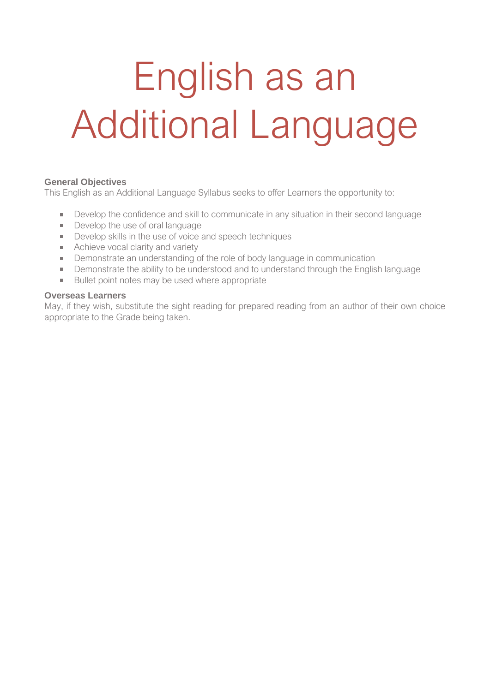# English as an Additional Language

#### **General Objectives**

This English as an Additional Language Syllabus seeks to offer Learners the opportunity to:

- Develop the confidence and skill to communicate in any situation in their second language
- Develop the use of oral language
- Develop skills in the use of voice and speech techniques
- Achieve vocal clarity and variety
- Demonstrate an understanding of the role of body language in communication
- **Demonstrate the ability to be understood and to understand through the English language**
- Bullet point notes may be used where appropriate

#### **Overseas Learners**

May, if they wish, substitute the sight reading for prepared reading from an author of their own choice appropriate to the Grade being taken.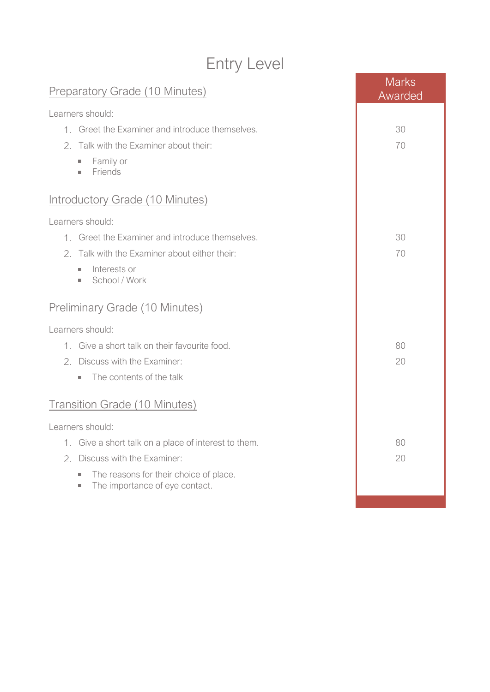## Entry Level

| <b>Preparatory Grade (10 Minutes)</b>                                                                         | <b>Marks</b><br>Awarded |  |
|---------------------------------------------------------------------------------------------------------------|-------------------------|--|
| Learners should:                                                                                              |                         |  |
| 1. Greet the Examiner and introduce themselves.                                                               | 30                      |  |
| 2. Talk with the Examiner about their:                                                                        | 70                      |  |
| Family or<br>ш<br>Friends<br>×.                                                                               |                         |  |
| <b>Introductory Grade (10 Minutes)</b>                                                                        |                         |  |
| Learners should:                                                                                              |                         |  |
| 1. Greet the Examiner and introduce themselves.                                                               | 30                      |  |
| 2. Talk with the Examiner about either their:                                                                 | 70                      |  |
| Interests or<br>ш<br>School / Work<br>×.                                                                      |                         |  |
| <b>Preliminary Grade (10 Minutes)</b>                                                                         |                         |  |
| Learners should:                                                                                              |                         |  |
| 1. Give a short talk on their favourite food.                                                                 | 80                      |  |
| 2. Discuss with the Examiner:                                                                                 | 20                      |  |
| The contents of the talk<br>$\mathcal{L}_{\mathcal{A}}$                                                       |                         |  |
| <b>Transition Grade (10 Minutes)</b>                                                                          |                         |  |
| Learners should:                                                                                              |                         |  |
| 1. Give a short talk on a place of interest to them.                                                          | 80                      |  |
| 2. Discuss with the Examiner:                                                                                 | 20                      |  |
| The reasons for their choice of place.<br>a.<br>The importance of eye contact.<br>$\mathcal{L}_{\mathcal{A}}$ |                         |  |
|                                                                                                               |                         |  |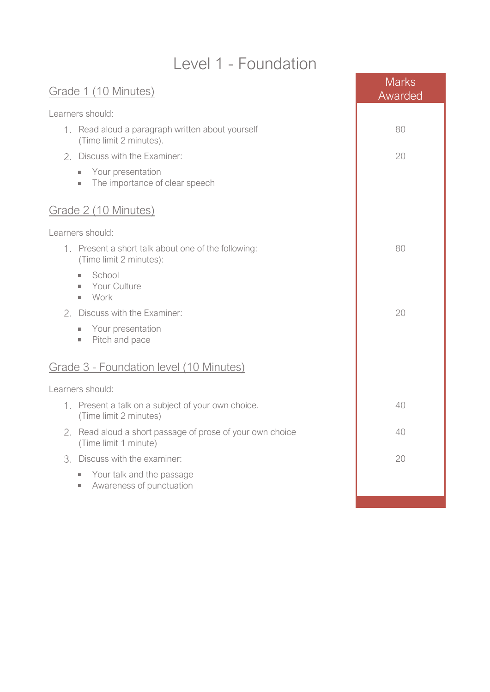#### Level 1 - Foundation

| Grade 1 (10 Minutes)                                                               | <b>Marks</b><br>Awarded |  |
|------------------------------------------------------------------------------------|-------------------------|--|
| Learners should:                                                                   |                         |  |
| 1. Read aloud a paragraph written about yourself<br>(Time limit 2 minutes).        | 80                      |  |
| 2. Discuss with the Examiner:                                                      | 20                      |  |
| Your presentation<br>×.<br>The importance of clear speech<br>×.                    |                         |  |
| Grade 2 (10 Minutes)                                                               |                         |  |
| Learners should:                                                                   |                         |  |
| 1. Present a short talk about one of the following:<br>(Time limit 2 minutes):     | 80                      |  |
| School<br>×.<br>Your Culture<br>a.<br>Work<br>$\mathcal{L}_{\mathcal{A}}$          |                         |  |
| Discuss with the Examiner:<br>2.                                                   | 20                      |  |
| Your presentation<br>$\sim$<br>Pitch and pace<br>×.                                |                         |  |
| Grade 3 - Foundation level (10 Minutes)                                            |                         |  |
| Learners should:                                                                   |                         |  |
| 1. Present a talk on a subject of your own choice.<br>(Time limit 2 minutes)       | 40                      |  |
| 2. Read aloud a short passage of prose of your own choice<br>(Time limit 1 minute) | 40                      |  |
| 3. Discuss with the examiner:                                                      | 20                      |  |
| Your talk and the passage<br>Awareness of punctuation<br>ш                         |                         |  |
|                                                                                    |                         |  |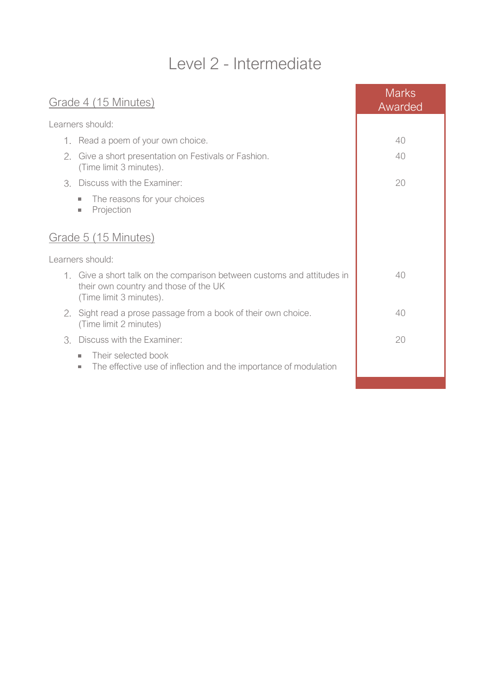## Level 2 - Intermediate

| Grade 4 (15 Minutes) |                                                                                                                                             | <b>Marks</b><br>Awarded |
|----------------------|---------------------------------------------------------------------------------------------------------------------------------------------|-------------------------|
|                      | Learners should:                                                                                                                            |                         |
|                      | 1. Read a poem of your own choice.                                                                                                          | 40                      |
| 2.                   | Give a short presentation on Festivals or Fashion.<br>(Time limit 3 minutes).                                                               | 40                      |
| 3.                   | Discuss with the Examiner:                                                                                                                  | 20                      |
|                      | The reasons for your choices<br>$\mathcal{L}_{\mathcal{A}}$<br>Projection<br>$\mathcal{L}_{\mathcal{A}}$                                    |                         |
|                      | Grade 5 (15 Minutes)                                                                                                                        |                         |
|                      | Learners should:                                                                                                                            |                         |
|                      | 1. Give a short talk on the comparison between customs and attitudes in<br>their own country and those of the UK<br>(Time limit 3 minutes). | 40                      |
| 2.                   | Sight read a prose passage from a book of their own choice.<br>(Time limit 2 minutes)                                                       | 40                      |
| 3.                   | Discuss with the Examiner:                                                                                                                  | 20                      |
|                      | Their selected book<br>п<br>The effective use of inflection and the importance of modulation<br>$\mathcal{L}_{\mathcal{A}}$                 |                         |
|                      |                                                                                                                                             |                         |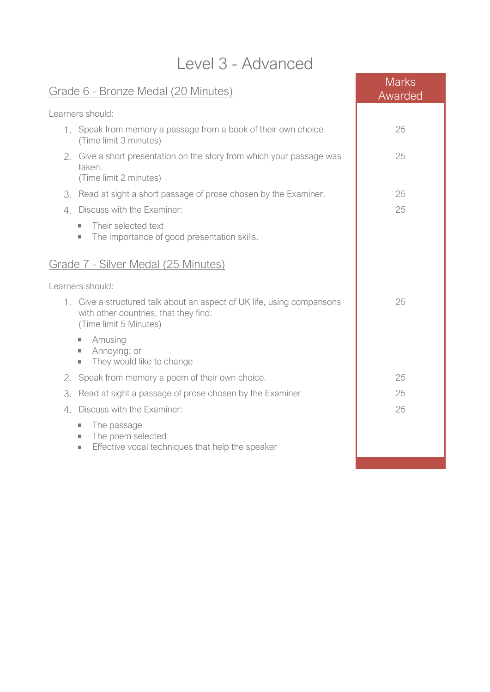#### Level 3 - Advanced

| Level 3 - Auvanceu                                                                                                                         |                         |
|--------------------------------------------------------------------------------------------------------------------------------------------|-------------------------|
| Grade 6 - Bronze Medal (20 Minutes)                                                                                                        | <b>Marks</b><br>Awarded |
| Learners should:                                                                                                                           |                         |
| 1. Speak from memory a passage from a book of their own choice<br>(Time limit 3 minutes)                                                   | 25                      |
| 2. Give a short presentation on the story from which your passage was<br>taken.<br>(Time limit 2 minutes)                                  | 25                      |
| 3. Read at sight a short passage of prose chosen by the Examiner.                                                                          | 25                      |
| Discuss with the Examiner:<br>4.                                                                                                           | 25                      |
| Their selected text<br>ш<br>The importance of good presentation skills.<br>$\sim$                                                          |                         |
| Grade 7 - Silver Medal (25 Minutes)                                                                                                        |                         |
| Learners should:                                                                                                                           |                         |
| 1. Give a structured talk about an aspect of UK life, using comparisons<br>with other countries, that they find:<br>(Time limit 5 Minutes) | 25                      |
| Amusing<br>×.<br>Annoying; or<br>$\sim$<br>They would like to change<br>×.                                                                 |                         |
| Speak from memory a poem of their own choice.<br>2.                                                                                        | 25                      |
| Read at sight a passage of prose chosen by the Examiner<br>3.                                                                              | 25                      |
| Discuss with the Examiner:<br>$4_{-}$                                                                                                      | 25                      |
| The passage<br>$\mathcal{L}_{\mathcal{A}}$<br>The poem selected<br>ш                                                                       |                         |

Effective vocal techniques that help the speaker